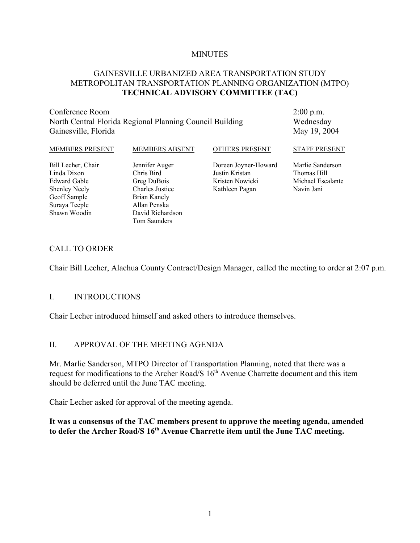#### **MINUTES**

#### GAINESVILLE URBANIZED AREA TRANSPORTATION STUDY METROPOLITAN TRANSPORTATION PLANNING ORGANIZATION (MTPO) **TECHNICAL ADVISORY COMMITTEE (TAC)**

Conference Room North Central Florida Regional Planning Council Building Gainesville, Florida

2:00 p.m. Wednesday May 19, 2004

| MEMBERS PRESENT      | <b>MEMBERS ABSENT</b>  | <b>OTHERS PRESENT</b> | <b>STAFF PRESENT</b> |
|----------------------|------------------------|-----------------------|----------------------|
| Bill Lecher, Chair   | Jennifer Auger         | Doreen Joyner-Howard  | Marlie Sanderson     |
| Linda Dixon          | Chris Bird             | Justin Kristan        | Thomas Hill          |
| Edward Gable         | Greg DuBois            | Kristen Nowicki       | Michael Escalante    |
| <b>Shenley Neely</b> | <b>Charles Justice</b> | Kathleen Pagan        | Navin Jani           |
| Geoff Sample         | Brian Kanely           |                       |                      |
| Suraya Teeple        | Allan Penska           |                       |                      |
| Shawn Woodin         | David Richardson       |                       |                      |
|                      | Tom Saunders           |                       |                      |

#### CALL TO ORDER

Chair Bill Lecher, Alachua County Contract/Design Manager, called the meeting to order at 2:07 p.m.

#### I. INTRODUCTIONS

Chair Lecher introduced himself and asked others to introduce themselves.

#### II. APPROVAL OF THE MEETING AGENDA

Mr. Marlie Sanderson, MTPO Director of Transportation Planning, noted that there was a request for modifications to the Archer Road/S  $16<sup>th</sup>$  Avenue Charrette document and this item should be deferred until the June TAC meeting.

Chair Lecher asked for approval of the meeting agenda.

**It was a consensus of the TAC members present to approve the meeting agenda, amended** to defer the Archer Road/S 16<sup>th</sup> Avenue Charrette item until the June TAC meeting.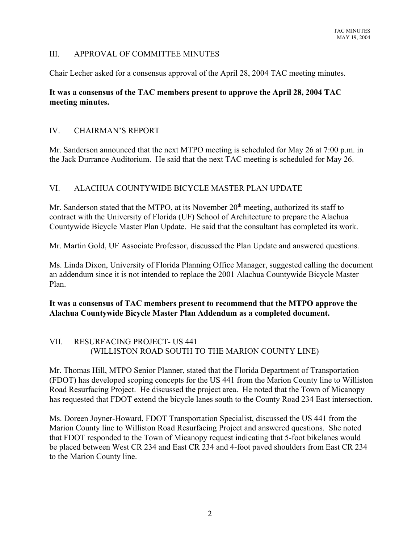#### III. APPROVAL OF COMMITTEE MINUTES

Chair Lecher asked for a consensus approval of the April 28, 2004 TAC meeting minutes.

### **It was a consensus of the TAC members present to approve the April 28, 2004 TAC meeting minutes.**

### IV. CHAIRMAN'S REPORT

Mr. Sanderson announced that the next MTPO meeting is scheduled for May 26 at 7:00 p.m. in the Jack Durrance Auditorium. He said that the next TAC meeting is scheduled for May 26.

### VI. ALACHUA COUNTYWIDE BICYCLE MASTER PLAN UPDATE

Mr. Sanderson stated that the MTPO, at its November  $20<sup>th</sup>$  meeting, authorized its staff to contract with the University of Florida (UF) School of Architecture to prepare the Alachua Countywide Bicycle Master Plan Update. He said that the consultant has completed its work.

Mr. Martin Gold, UF Associate Professor, discussed the Plan Update and answered questions.

Ms. Linda Dixon, University of Florida Planning Office Manager, suggested calling the document an addendum since it is not intended to replace the 2001 Alachua Countywide Bicycle Master Plan.

**It was a consensus of TAC members present to recommend that the MTPO approve the Alachua Countywide Bicycle Master Plan Addendum as a completed document.**

### VII. RESURFACING PROJECT- US 441 (WILLISTON ROAD SOUTH TO THE MARION COUNTY LINE)

Mr. Thomas Hill, MTPO Senior Planner, stated that the Florida Department of Transportation (FDOT) has developed scoping concepts for the US 441 from the Marion County line to Williston Road Resurfacing Project. He discussed the project area. He noted that the Town of Micanopy has requested that FDOT extend the bicycle lanes south to the County Road 234 East intersection.

Ms. Doreen Joyner-Howard, FDOT Transportation Specialist, discussed the US 441 from the Marion County line to Williston Road Resurfacing Project and answered questions. She noted that FDOT responded to the Town of Micanopy request indicating that 5-foot bikelanes would be placed between West CR 234 and East CR 234 and 4-foot paved shoulders from East CR 234 to the Marion County line.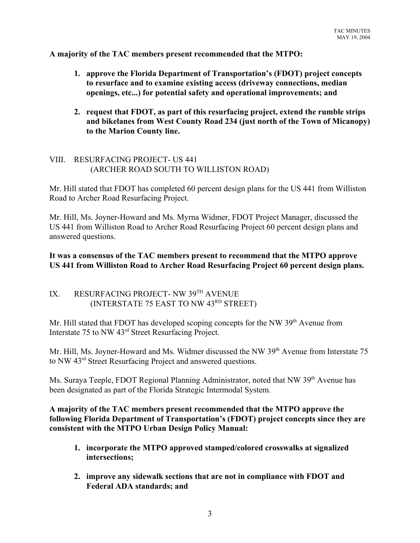**A majority of the TAC members present recommended that the MTPO:**

- **1. approve the Florida Department of Transportation's (FDOT) project concepts to resurface and to examine existing access (driveway connections, median openings, etc...) for potential safety and operational improvements; and**
- **2. request that FDOT, as part of this resurfacing project, extend the rumble strips and bikelanes from West County Road 234 (just north of the Town of Micanopy) to the Marion County line.**

### VIII. RESURFACING PROJECT- US 441 (ARCHER ROAD SOUTH TO WILLISTON ROAD)

Mr. Hill stated that FDOT has completed 60 percent design plans for the US 441 from Williston Road to Archer Road Resurfacing Project.

Mr. Hill, Ms. Joyner-Howard and Ms. Myrna Widmer, FDOT Project Manager, discussed the US 441 from Williston Road to Archer Road Resurfacing Project 60 percent design plans and answered questions.

**It was a consensus of the TAC members present to recommend that the MTPO approve US 441 from Williston Road to Archer Road Resurfacing Project 60 percent design plans.**

# IX. RESURFACING PROJECT- NW 39TH AVENUE (INTERSTATE 75 EAST TO NW 43RD STREET)

Mr. Hill stated that FDOT has developed scoping concepts for the NW 39<sup>th</sup> Avenue from Interstate 75 to NW 43rd Street Resurfacing Project.

Mr. Hill, Ms. Joyner-Howard and Ms. Widmer discussed the NW 39<sup>th</sup> Avenue from Interstate 75 to NW 43rd Street Resurfacing Project and answered questions.

Ms. Suraya Teeple, FDOT Regional Planning Administrator, noted that NW 39<sup>th</sup> Avenue has been designated as part of the Florida Strategic Intermodal System.

**A majority of the TAC members present recommended that the MTPO approve the following Florida Department of Transportation's (FDOT) project concepts since they are consistent with the MTPO Urban Design Policy Manual:** 

- **1. incorporate the MTPO approved stamped/colored crosswalks at signalized intersections;**
- **2. improve any sidewalk sections that are not in compliance with FDOT and Federal ADA standards; and**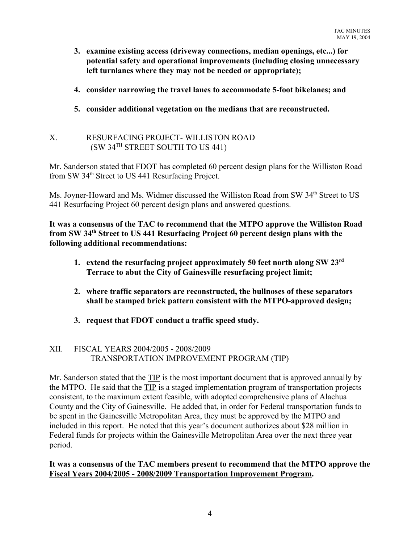- **3. examine existing access (driveway connections, median openings, etc...) for potential safety and operational improvements (including closing unnecessary left turnlanes where they may not be needed or appropriate);**
- **4. consider narrowing the travel lanes to accommodate 5-foot bikelanes; and**
- **5. consider additional vegetation on the medians that are reconstructed.**

### X. RESURFACING PROJECT- WILLISTON ROAD (SW 34TH STREET SOUTH TO US 441)

Mr. Sanderson stated that FDOT has completed 60 percent design plans for the Williston Road from SW 34<sup>th</sup> Street to US 441 Resurfacing Project.

Ms. Joyner-Howard and Ms. Widmer discussed the Williston Road from SW 34<sup>th</sup> Street to US 441 Resurfacing Project 60 percent design plans and answered questions.

**It was a consensus of the TAC to recommend that the MTPO approve the Williston Road from SW 34th Street to US 441 Resurfacing Project 60 percent design plans with the following additional recommendations:**

- **1. extend the resurfacing project approximately 50 feet north along SW 23rd Terrace to abut the City of Gainesville resurfacing project limit;**
- **2. where traffic separators are reconstructed, the bullnoses of these separators shall be stamped brick pattern consistent with the MTPO-approved design;**
- **3. request that FDOT conduct a traffic speed study.**

## XII. FISCAL YEARS 2004/2005 - 2008/2009 TRANSPORTATION IMPROVEMENT PROGRAM (TIP)

Mr. Sanderson stated that the TIP is the most important document that is approved annually by the MTPO. He said that the TIP is a staged implementation program of transportation projects consistent, to the maximum extent feasible, with adopted comprehensive plans of Alachua County and the City of Gainesville. He added that, in order for Federal transportation funds to be spent in the Gainesville Metropolitan Area, they must be approved by the MTPO and included in this report. He noted that this year's document authorizes about \$28 million in Federal funds for projects within the Gainesville Metropolitan Area over the next three year period.

### **It was a consensus of the TAC members present to recommend that the MTPO approve the Fiscal Years 2004/2005 - 2008/2009 Transportation Improvement Program.**